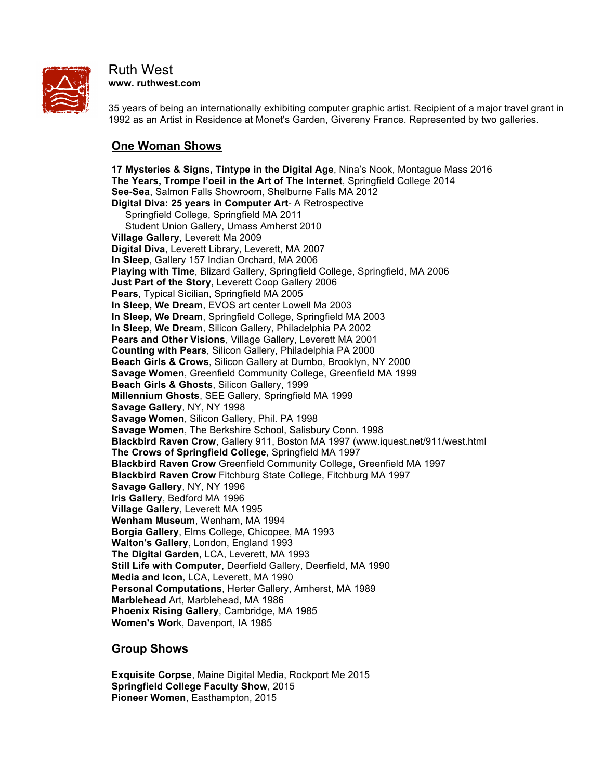

#### Ruth West **www. ruthwest.com**

35 years of being an internationally exhibiting computer graphic artist. Recipient of a major travel grant in 1992 as an Artist in Residence at Monet's Garden, Givereny France. Represented by two galleries.

# **One Woman Shows**

**17 Mysteries & Signs, Tintype in the Digital Age**, Nina's Nook, Montague Mass 2016 **The Years, Trompe l'oeil in the Art of The Internet**, Springfield College 2014 **See-Sea**, Salmon Falls Showroom, Shelburne Falls MA 2012 **Digital Diva: 25 years in Computer Art**- A Retrospective Springfield College, Springfield MA 2011 Student Union Gallery, Umass Amherst 2010 **Village Gallery**, Leverett Ma 2009 **Digital Diva**, Leverett Library, Leverett, MA 2007 **In Sleep**, Gallery 157 Indian Orchard, MA 2006 **Playing with Time**, Blizard Gallery, Springfield College, Springfield, MA 2006 **Just Part of the Story**, Leverett Coop Gallery 2006 **Pears**, Typical Sicilian, Springfield MA 2005 **In Sleep, We Dream**, EVOS art center Lowell Ma 2003 **In Sleep, We Dream**, Springfield College, Springfield MA 2003 **In Sleep, We Dream**, Silicon Gallery, Philadelphia PA 2002 **Pears and Other Visions**, Village Gallery, Leverett MA 2001 **Counting with Pears**, Silicon Gallery, Philadelphia PA 2000 **Beach Girls & Crows**, Silicon Gallery at Dumbo, Brooklyn, NY 2000 **Savage Women**, Greenfield Community College, Greenfield MA 1999 **Beach Girls & Ghosts**, Silicon Gallery, 1999 **Millennium Ghosts**, SEE Gallery, Springfield MA 1999 **Savage Gallery**, NY, NY 1998 **Savage Women**, Silicon Gallery, Phil. PA 1998 **Savage Women**, The Berkshire School, Salisbury Conn. 1998 **Blackbird Raven Crow**, Gallery 911, Boston MA 1997 (www.iquest.net/911/west.html **The Crows of Springfield College**, Springfield MA 1997 **Blackbird Raven Crow** Greenfield Community College, Greenfield MA 1997 **Blackbird Raven Crow** Fitchburg State College, Fitchburg MA 1997 **Savage Gallery**, NY, NY 1996 **Iris Gallery**, Bedford MA 1996 **Village Gallery**, Leverett MA 1995 **Wenham Museum**, Wenham, MA 1994 **Borgia Gallery**, Elms College, Chicopee, MA 1993 **Walton's Gallery**, London, England 1993 **The Digital Garden,** LCA, Leverett, MA 1993 **Still Life with Computer**, Deerfield Gallery, Deerfield, MA 1990 **Media and Icon**, LCA, Leverett, MA 1990 **Personal Computations**, Herter Gallery, Amherst, MA 1989 **Marblehead** Art, Marblehead, MA 1986 **Phoenix Rising Gallery**, Cambridge, MA 1985 **Women's Wor**k, Davenport, IA 1985

## **Group Shows**

**Exquisite Corpse**, Maine Digital Media, Rockport Me 2015 **Springfield College Faculty Show**, 2015 **Pioneer Women**, Easthampton, 2015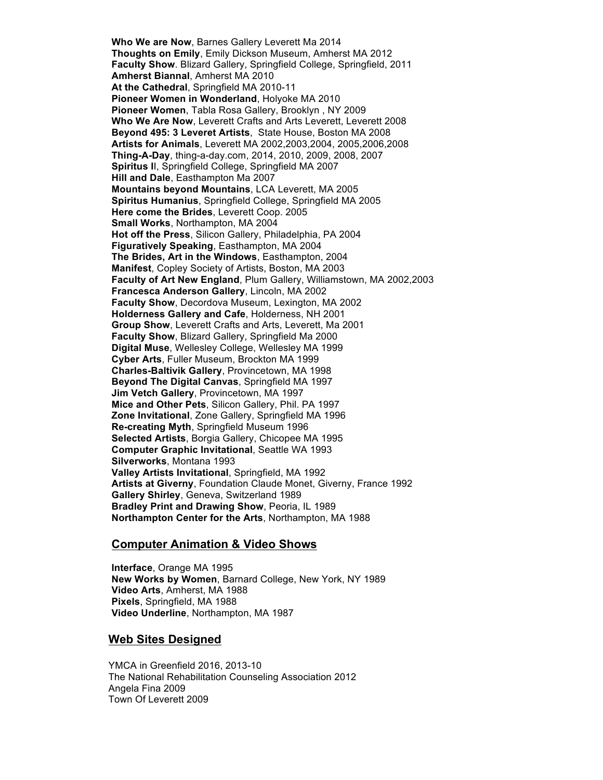**Who We are Now**, Barnes Gallery Leverett Ma 2014 **Thoughts on Emily**, Emily Dickson Museum, Amherst MA 2012 **Faculty Show**. Blizard Gallery, Springfield College, Springfield, 2011 **Amherst Biannal**, Amherst MA 2010 **At the Cathedral**, Springfield MA 2010-11 **Pioneer Women in Wonderland**, Holyoke MA 2010 **Pioneer Women**, Tabla Rosa Gallery, Brooklyn , NY 2009 **Who We Are Now**, Leverett Crafts and Arts Leverett, Leverett 2008 **Beyond 495: 3 Leveret Artists**, State House, Boston MA 2008 **Artists for Animals**, Leverett MA 2002,2003,2004, 2005,2006,2008 **Thing-A-Day**, thing-a-day.com, 2014, 2010, 2009, 2008, 2007 **Spiritus I**I, Springfield College, Springfield MA 2007 **Hill and Dale**, Easthampton Ma 2007 **Mountains beyond Mountains**, LCA Leverett, MA 2005 **Spiritus Humanius**, Springfield College, Springfield MA 2005 **Here come the Brides**, Leverett Coop. 2005 **Small Works**, Northampton, MA 2004 **Hot off the Press**, Silicon Gallery, Philadelphia, PA 2004 **Figuratively Speaking**, Easthampton, MA 2004 **The Brides, Art in the Windows**, Easthampton, 2004 **Manifest**, Copley Society of Artists, Boston, MA 2003 **Faculty of Art New England**, Plum Gallery, Williamstown, MA 2002,2003 **Francesca Anderson Gallery**, Lincoln, MA 2002 **Faculty Show**, Decordova Museum, Lexington, MA 2002 **Holderness Gallery and Cafe**, Holderness, NH 2001 **Group Show**, Leverett Crafts and Arts, Leverett, Ma 2001 **Faculty Show**, Blizard Gallery, Springfield Ma 2000 **Digital Muse**, Wellesley College, Wellesley MA 1999 **Cyber Arts**, Fuller Museum, Brockton MA 1999 **Charles-Baltivik Gallery**, Provincetown, MA 1998 **Beyond The Digital Canvas**, Springfield MA 1997 **Jim Vetch Gallery**, Provincetown, MA 1997 **Mice and Other Pets**, Silicon Gallery, Phil. PA 1997 **Zone Invitational**, Zone Gallery, Springfield MA 1996 **Re-creating Myth**, Springfield Museum 1996 **Selected Artists**, Borgia Gallery, Chicopee MA 1995 **Computer Graphic Invitational**, Seattle WA 1993 **Silverworks**, Montana 1993 **Valley Artists Invitational**, Springfield, MA 1992 **Artists at Giverny**, Foundation Claude Monet, Giverny, France 1992 **Gallery Shirley**, Geneva, Switzerland 1989 **Bradley Print and Drawing Show**, Peoria, IL 1989 **Northampton Center for the Arts**, Northampton, MA 1988

#### **Computer Animation & Video Shows**

**Interface**, Orange MA 1995 **New Works by Women**, Barnard College, New York, NY 1989 **Video Arts**, Amherst, MA 1988 **Pixels**, Springfield, MA 1988 **Video Underline**, Northampton, MA 1987

#### **Web Sites Designed**

YMCA in Greenfield 2016, 2013-10 The National Rehabilitation Counseling Association 2012 Angela Fina 2009 Town Of Leverett 2009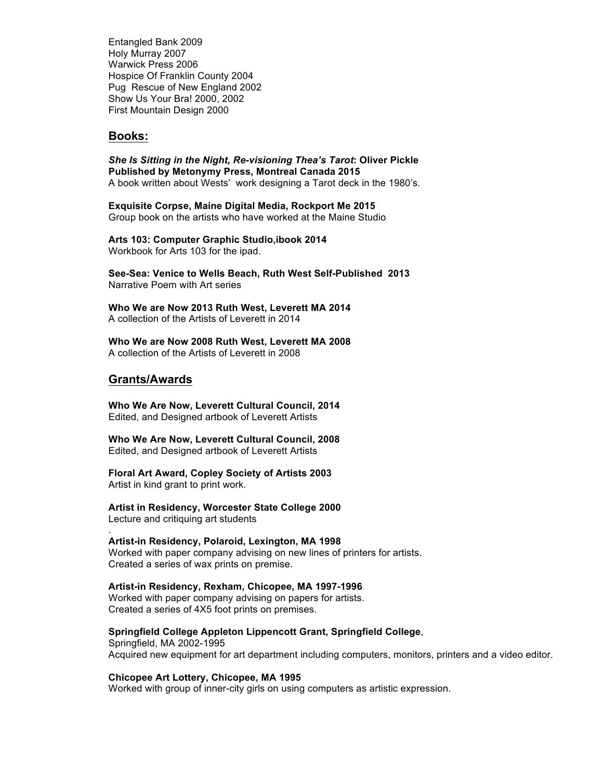Entangled Bank 2009 Holy Murray 2007 Warwick Press 2006 Hospice Of Franklin County 2004 Pug Rescue of New England 2002 Show Us Your Bra! 2000, 2002 First Mountain Design 2000

#### **Books:**

*She Is Sitting in the Night, Re-visioning Thea's Tarot***: Oliver Pickle Published by Metonymy Press, Montreal Canada 2015** A book written about Wests' work designing a Tarot deck in the 1980's.

**Exquisite Corpse, Maine Digital Media, Rockport Me 2015** Group book on the artists who have worked at the Maine Studio

**Arts 103: Computer Graphic Studio,ibook 2014** Workbook for Arts 103 for the ipad.

**See-Sea: Venice to Wells Beach, Ruth West Self-Published 2013** Narrative Poem with Art series

**Who We are Now 2013 Ruth West, Leverett MA 2014** A collection of the Artists of Leverett in 2014

**Who We are Now 2008 Ruth West, Leverett MA 2008** A collection of the Artists of Leverett in 2008

### **Grants/Awards**

.

**Who We Are Now, Leverett Cultural Council, 2014** Edited, and Designed artbook of Leverett Artists

**Who We Are Now, Leverett Cultural Council, 2008** Edited, and Designed artbook of Leverett Artists

**Floral Art Award, Copley Society of Artists 2003** Artist in kind grant to print work.

**Artist in Residency, Worcester State College 2000** Lecture and critiquing art students

**Artist-in Residency, Polaroid, Lexington, MA 1998** Worked with paper company advising on new lines of printers for artists. Created a series of wax prints on premise.

**Artist-in Residency, Rexham, Chicopee, MA 1997-1996** Worked with paper company advising on papers for artists. Created a series of 4X5 foot prints on premises.

**Springfield College Appleton Lippencott Grant, Springfield College**, Springfield, MA 2002-1995 Acquired new equipment for art department including computers, monitors, printers and a video editor.

**Chicopee Art Lottery, Chicopee, MA 1995**

Worked with group of inner-city girls on using computers as artistic expression.